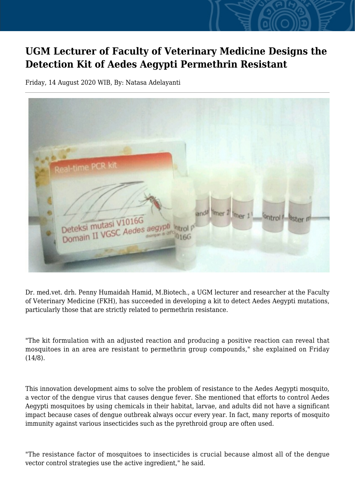## **UGM Lecturer of Faculty of Veterinary Medicine Designs the Detection Kit of Aedes Aegypti Permethrin Resistant**

Friday, 14 August 2020 WIB, By: Natasa Adelayanti

| Real-time PCR kit<br>and <sup>8</sup> limer 2 limer 1 <sup>1</sup><br><b>Ontrol</b> <sup>1</sup><br>Deteksi mutasi V1016G<br><b>Aster</b> w<br>Deteksi mutasi Caedes aegypti katrol pomain II VGSC Aedes aegypti katrol po |  |
|----------------------------------------------------------------------------------------------------------------------------------------------------------------------------------------------------------------------------|--|
|                                                                                                                                                                                                                            |  |

Dr. med.vet. drh. Penny Humaidah Hamid, M.Biotech., a UGM lecturer and researcher at the Faculty of Veterinary Medicine (FKH), has succeeded in developing a kit to detect Aedes Aegypti mutations, particularly those that are strictly related to permethrin resistance.

"The kit formulation with an adjusted reaction and producing a positive reaction can reveal that mosquitoes in an area are resistant to permethrin group compounds," she explained on Friday (14/8).

This innovation development aims to solve the problem of resistance to the Aedes Aegypti mosquito, a vector of the dengue virus that causes dengue fever. She mentioned that efforts to control Aedes Aegypti mosquitoes by using chemicals in their habitat, larvae, and adults did not have a significant impact because cases of dengue outbreak always occur every year. In fact, many reports of mosquito immunity against various insecticides such as the pyrethroid group are often used.

"The resistance factor of mosquitoes to insecticides is crucial because almost all of the dengue vector control strategies use the active ingredient," he said.